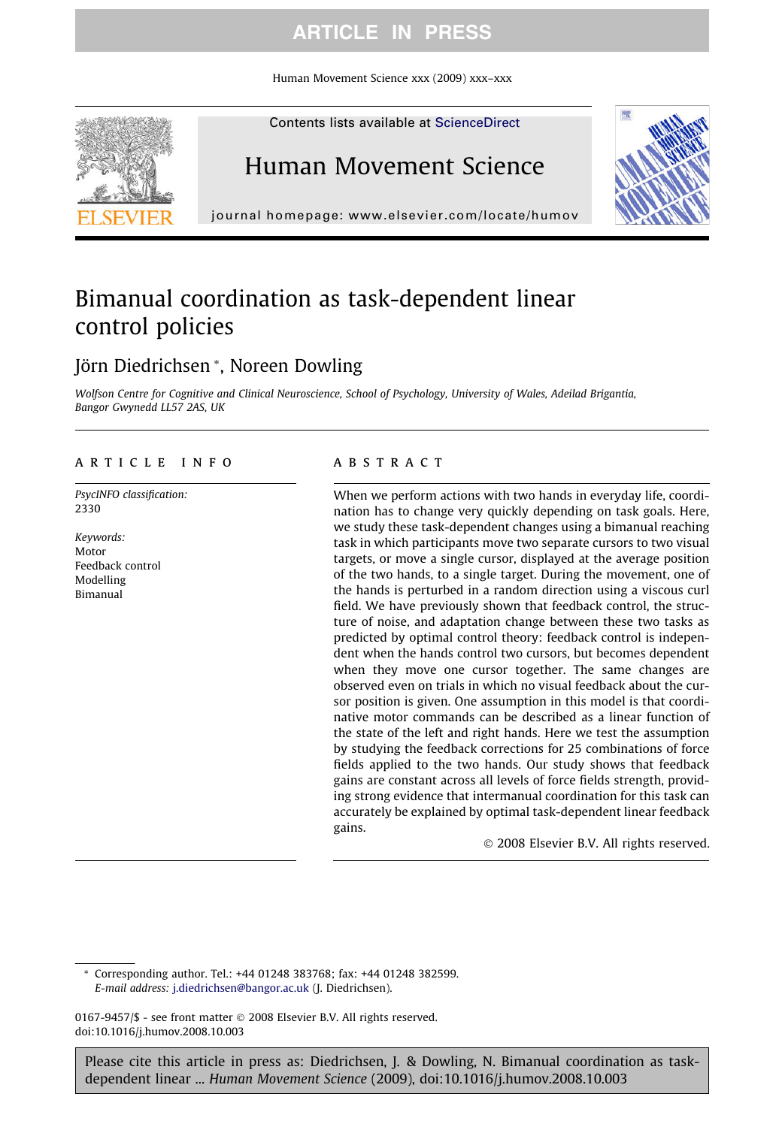Human Movement Science xxx (2009) xxx–xxx



Contents lists available at [ScienceDirect](http://www.sciencedirect.com/science/journal/01679457)

# Human Movement Science



journal homepage: [www.elsevier.com/locate/humov](http://www.elsevier.com/locate/humov)

# Bimanual coordination as task-dependent linear control policies

### Jörn Diedrichsen \*, Noreen Dowling

Wolfson Centre for Cognitive and Clinical Neuroscience, School of Psychology, University of Wales, Adeilad Brigantia, Bangor Gwynedd LL57 2AS, UK

### article info

PsycINFO classification: 2330

Keywords: Motor Feedback control Modelling Bimanual

#### **ABSTRACT**

When we perform actions with two hands in everyday life, coordination has to change very quickly depending on task goals. Here, we study these task-dependent changes using a bimanual reaching task in which participants move two separate cursors to two visual targets, or move a single cursor, displayed at the average position of the two hands, to a single target. During the movement, one of the hands is perturbed in a random direction using a viscous curl field. We have previously shown that feedback control, the structure of noise, and adaptation change between these two tasks as predicted by optimal control theory: feedback control is independent when the hands control two cursors, but becomes dependent when they move one cursor together. The same changes are observed even on trials in which no visual feedback about the cursor position is given. One assumption in this model is that coordinative motor commands can be described as a linear function of the state of the left and right hands. Here we test the assumption by studying the feedback corrections for 25 combinations of force fields applied to the two hands. Our study shows that feedback gains are constant across all levels of force fields strength, providing strong evidence that intermanual coordination for this task can accurately be explained by optimal task-dependent linear feedback gains.

- 2008 Elsevier B.V. All rights reserved.

Corresponding author. Tel.: +44 01248 383768; fax: +44 01248 382599. E-mail address: [j.diedrichsen@bangor.ac.uk](mailto:j.diedrichsen@bangor.ac.uk) (J. Diedrichsen).

 $0167 - 9457$  - see front matter  $\odot$  2008 Elsevier B.V. All rights reserved. doi:10.1016/j.humov.2008.10.003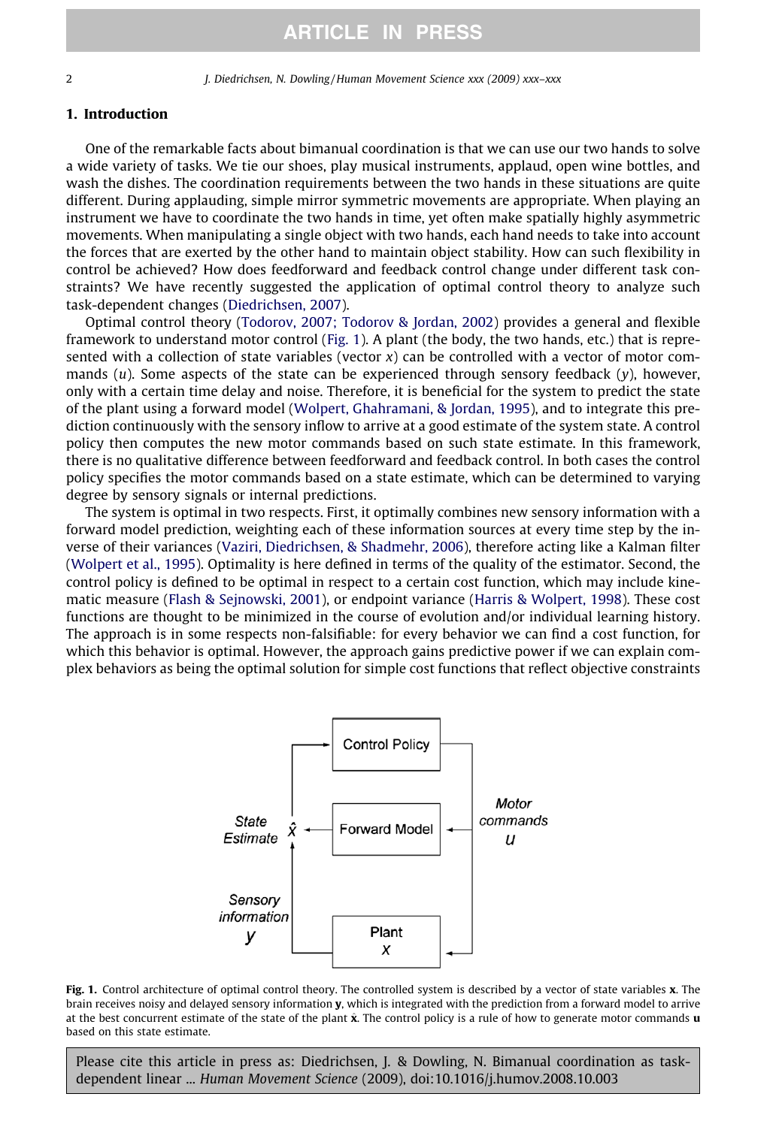#### 1. Introduction

One of the remarkable facts about bimanual coordination is that we can use our two hands to solve a wide variety of tasks. We tie our shoes, play musical instruments, applaud, open wine bottles, and wash the dishes. The coordination requirements between the two hands in these situations are quite different. During applauding, simple mirror symmetric movements are appropriate. When playing an instrument we have to coordinate the two hands in time, yet often make spatially highly asymmetric movements. When manipulating a single object with two hands, each hand needs to take into account the forces that are exerted by the other hand to maintain object stability. How can such flexibility in control be achieved? How does feedforward and feedback control change under different task constraints? We have recently suggested the application of optimal control theory to analyze such task-dependent changes ([Diedrichsen, 2007\)](#page-12-0).

Optimal control theory ([Todorov, 2007; Todorov & Jordan, 2002\)](#page-12-0) provides a general and flexible framework to understand motor control (Fig. 1). A plant (the body, the two hands, etc.) that is represented with a collection of state variables (vector  $x$ ) can be controlled with a vector of motor commands (u). Some aspects of the state can be experienced through sensory feedback (y), however, only with a certain time delay and noise. Therefore, it is beneficial for the system to predict the state of the plant using a forward model [\(Wolpert, Ghahramani, & Jordan, 1995\)](#page-13-0), and to integrate this prediction continuously with the sensory inflow to arrive at a good estimate of the system state. A control policy then computes the new motor commands based on such state estimate. In this framework, there is no qualitative difference between feedforward and feedback control. In both cases the control policy specifies the motor commands based on a state estimate, which can be determined to varying degree by sensory signals or internal predictions.

The system is optimal in two respects. First, it optimally combines new sensory information with a forward model prediction, weighting each of these information sources at every time step by the inverse of their variances ([Vaziri, Diedrichsen, & Shadmehr, 2006\)](#page-13-0), therefore acting like a Kalman filter ([Wolpert et al., 1995](#page-13-0)). Optimality is here defined in terms of the quality of the estimator. Second, the control policy is defined to be optimal in respect to a certain cost function, which may include kinematic measure ([Flash & Sejnowski, 2001\)](#page-12-0), or endpoint variance [\(Harris & Wolpert, 1998](#page-12-0)). These cost functions are thought to be minimized in the course of evolution and/or individual learning history. The approach is in some respects non-falsifiable: for every behavior we can find a cost function, for which this behavior is optimal. However, the approach gains predictive power if we can explain complex behaviors as being the optimal solution for simple cost functions that reflect objective constraints



Fig. 1. Control architecture of optimal control theory. The controlled system is described by a vector of state variables x. The brain receives noisy and delayed sensory information y, which is integrated with the prediction from a forward model to arrive at the best concurrent estimate of the state of the plant  $\hat{x}$ . The control policy is a rule of how to generate motor commands **u** based on this state estimate.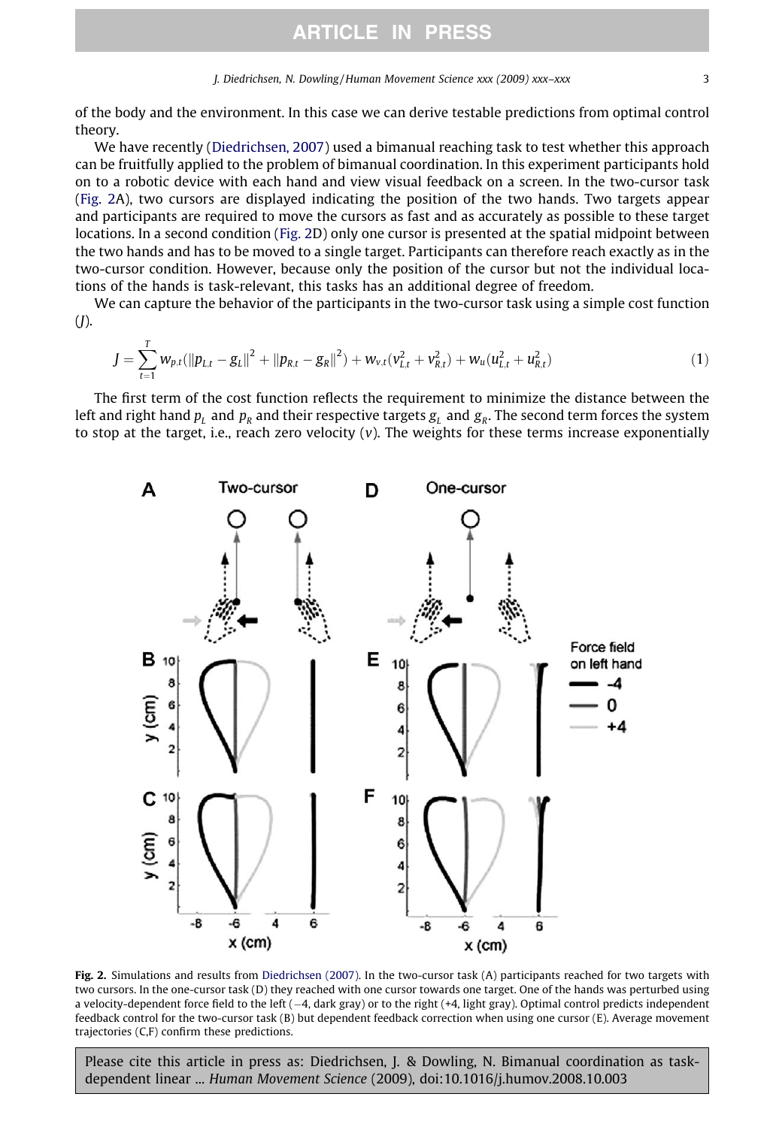<span id="page-2-0"></span>of the body and the environment. In this case we can derive testable predictions from optimal control theory.

We have recently ([Diedrichsen, 2007\)](#page-12-0) used a bimanual reaching task to test whether this approach can be fruitfully applied to the problem of bimanual coordination. In this experiment participants hold on to a robotic device with each hand and view visual feedback on a screen. In the two-cursor task (Fig. 2A), two cursors are displayed indicating the position of the two hands. Two targets appear and participants are required to move the cursors as fast and as accurately as possible to these target locations. In a second condition (Fig. 2D) only one cursor is presented at the spatial midpoint between the two hands and has to be moved to a single target. Participants can therefore reach exactly as in the two-cursor condition. However, because only the position of the cursor but not the individual locations of the hands is task-relevant, this tasks has an additional degree of freedom.

We can capture the behavior of the participants in the two-cursor task using a simple cost function  $(J).$ 

$$
J = \sum_{t=1}^{T} w_{p,t} (||p_{L,t} - g_L||^2 + ||p_{R,t} - g_R||^2) + w_{v,t} (v_{L,t}^2 + v_{R,t}^2) + w_u (u_{L,t}^2 + u_{R,t}^2)
$$
(1)

The first term of the cost function reflects the requirement to minimize the distance between the left and right hand  $p_L$  and  $p_R$  and their respective targets  $g_L$  and  $g_R$ . The second term forces the system to stop at the target, i.e., reach zero velocity  $(v)$ . The weights for these terms increase exponentially



Fig. 2. Simulations and results from [Diedrichsen \(2007\)](#page-12-0). In the two-cursor task (A) participants reached for two targets with two cursors. In the one-cursor task (D) they reached with one cursor towards one target. One of the hands was perturbed using a velocity-dependent force field to the left (-4, dark gray) or to the right (+4, light gray). Optimal control predicts independent feedback control for the two-cursor task (B) but dependent feedback correction when using one cursor (E). Average movement trajectories (C,F) confirm these predictions.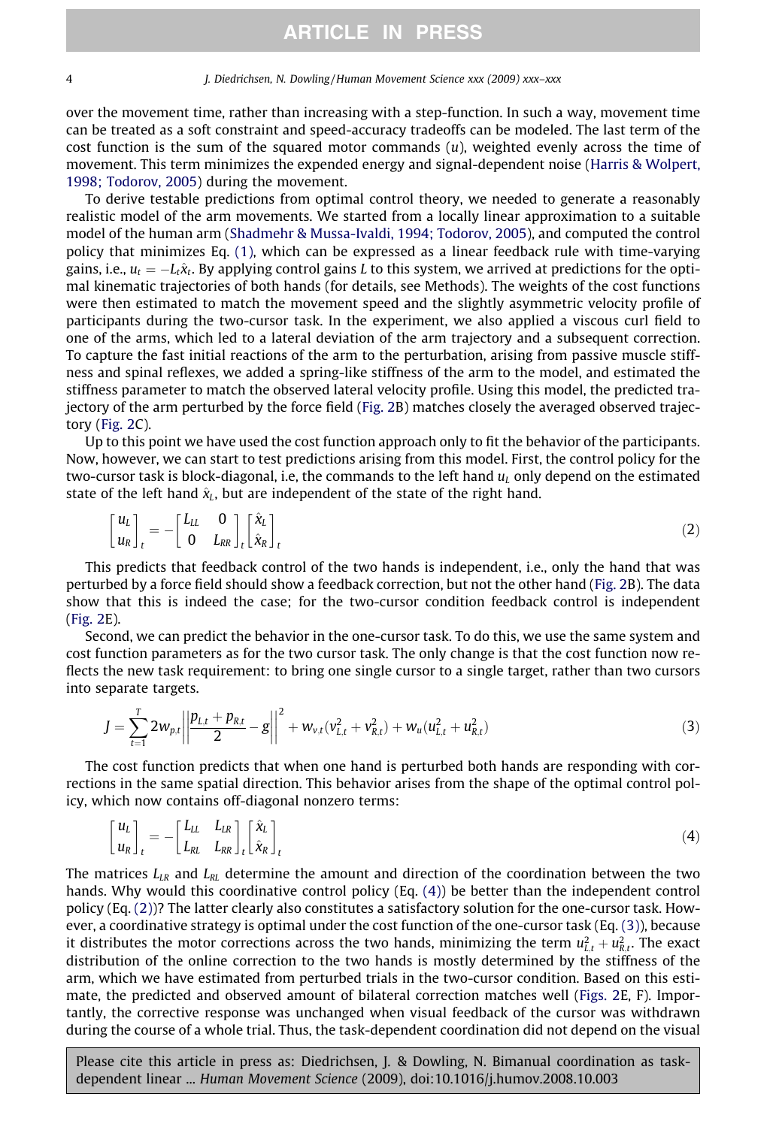<span id="page-3-0"></span>over the movement time, rather than increasing with a step-function. In such a way, movement time can be treated as a soft constraint and speed-accuracy tradeoffs can be modeled. The last term of the cost function is the sum of the squared motor commands  $(u)$ , weighted evenly across the time of movement. This term minimizes the expended energy and signal-dependent noise [\(Harris & Wolpert,](#page-12-0) [1998; Todorov, 2005\)](#page-12-0) during the movement.

To derive testable predictions from optimal control theory, we needed to generate a reasonably realistic model of the arm movements. We started from a locally linear approximation to a suitable model of the human arm ([Shadmehr & Mussa-Ivaldi, 1994; Todorov, 2005\)](#page-12-0), and computed the control policy that minimizes Eq. [\(1\),](#page-2-0) which can be expressed as a linear feedback rule with time-varying gains, i.e.,  $u_t = -l_t\hat{x}_t$ . By applying control gains L to this system, we arrived at predictions for the optimal kinematic trajectories of both hands (for details, see Methods). The weights of the cost functions were then estimated to match the movement speed and the slightly asymmetric velocity profile of participants during the two-cursor task. In the experiment, we also applied a viscous curl field to one of the arms, which led to a lateral deviation of the arm trajectory and a subsequent correction. To capture the fast initial reactions of the arm to the perturbation, arising from passive muscle stiffness and spinal reflexes, we added a spring-like stiffness of the arm to the model, and estimated the stiffness parameter to match the observed lateral velocity profile. Using this model, the predicted trajectory of the arm perturbed by the force field [\(Fig. 2B](#page-2-0)) matches closely the averaged observed trajectory [\(Fig. 2](#page-2-0)C).

Up to this point we have used the cost function approach only to fit the behavior of the participants. Now, however, we can start to test predictions arising from this model. First, the control policy for the two-cursor task is block-diagonal, i.e, the commands to the left hand  $u_i$  only depend on the estimated state of the left hand  $\hat{x}_L$ , but are independent of the state of the right hand.

$$
\begin{bmatrix} u_L \\ u_R \end{bmatrix}_t = - \begin{bmatrix} L_{LL} & 0 \\ 0 & L_{RR} \end{bmatrix}_t \begin{bmatrix} \hat{\chi}_L \\ \hat{\chi}_R \end{bmatrix}_t \tag{2}
$$

This predicts that feedback control of the two hands is independent, i.e., only the hand that was perturbed by a force field should show a feedback correction, but not the other hand ([Fig. 2](#page-2-0)B). The data show that this is indeed the case; for the two-cursor condition feedback control is independent ([Fig. 2](#page-2-0)E).

Second, we can predict the behavior in the one-cursor task. To do this, we use the same system and cost function parameters as for the two cursor task. The only change is that the cost function now reflects the new task requirement: to bring one single cursor to a single target, rather than two cursors into separate targets.

$$
J = \sum_{t=1}^{T} 2w_{p,t} \left| \left| \frac{p_{L,t} + p_{R,t}}{2} - g \right| \right|^2 + w_{v,t}(v_{L,t}^2 + v_{R,t}^2) + w_u(u_{L,t}^2 + u_{R,t}^2)
$$
 (3)

The cost function predicts that when one hand is perturbed both hands are responding with corrections in the same spatial direction. This behavior arises from the shape of the optimal control policy, which now contains off-diagonal nonzero terms:

$$
\begin{bmatrix} u_L \\ u_R \end{bmatrix}_t = - \begin{bmatrix} L_{LL} & L_{LR} \\ L_{RL} & L_{RR} \end{bmatrix}_t \begin{bmatrix} \hat{\mathbf{x}}_L \\ \hat{\mathbf{x}}_R \end{bmatrix}_t \tag{4}
$$

The matrices  $L_{LR}$  and  $L_{RL}$  determine the amount and direction of the coordination between the two hands. Why would this coordinative control policy (Eq. (4)) be better than the independent control policy (Eq. (2))? The latter clearly also constitutes a satisfactory solution for the one-cursor task. However, a coordinative strategy is optimal under the cost function of the one-cursor task (Eq. (3)), because it distributes the motor corrections across the two hands, minimizing the term  $u_{L,t}^2+u_{R,t}^2.$  The exact distribution of the online correction to the two hands is mostly determined by the stiffness of the arm, which we have estimated from perturbed trials in the two-cursor condition. Based on this estimate, the predicted and observed amount of bilateral correction matches well ([Figs. 2](#page-2-0)E, F). Importantly, the corrective response was unchanged when visual feedback of the cursor was withdrawn during the course of a whole trial. Thus, the task-dependent coordination did not depend on the visual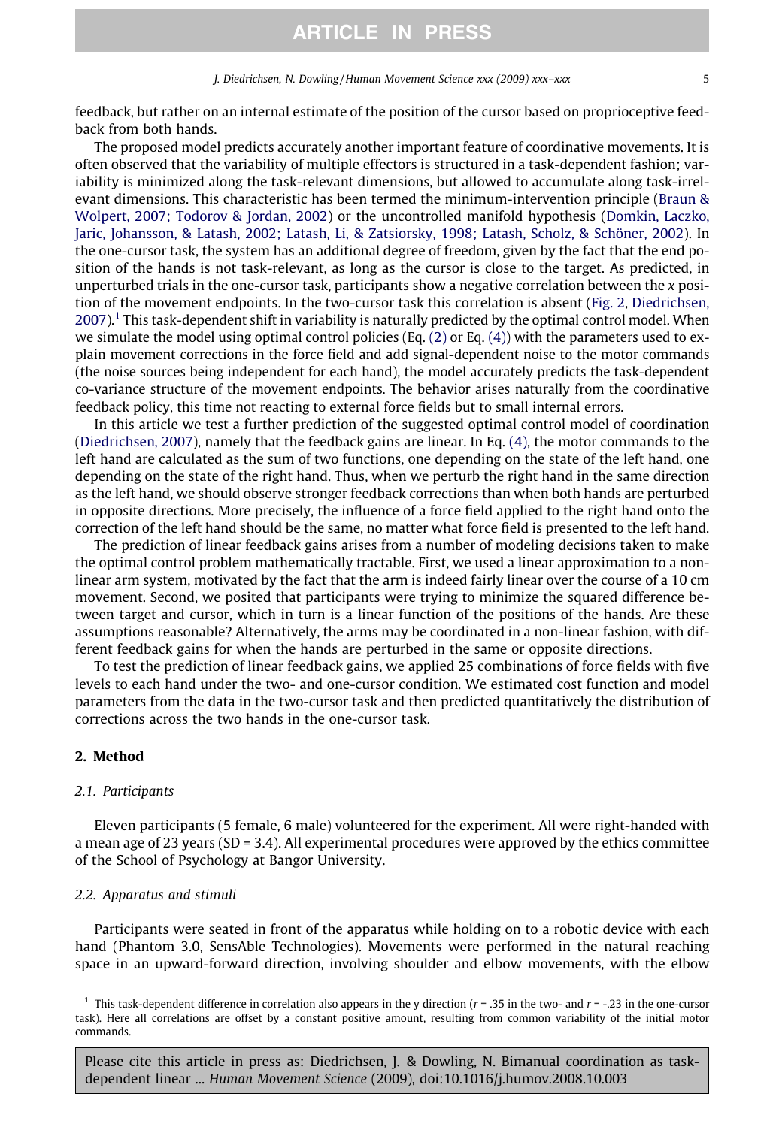feedback, but rather on an internal estimate of the position of the cursor based on proprioceptive feedback from both hands.

The proposed model predicts accurately another important feature of coordinative movements. It is often observed that the variability of multiple effectors is structured in a task-dependent fashion; variability is minimized along the task-relevant dimensions, but allowed to accumulate along task-irrelevant dimensions. This characteristic has been termed the minimum-intervention principle [\(Braun &](#page-12-0) [Wolpert, 2007; Todorov & Jordan, 2002\)](#page-12-0) or the uncontrolled manifold hypothesis ([Domkin, Laczko,](#page-12-0) [Jaric, Johansson, & Latash, 2002; Latash, Li, & Zatsiorsky, 1998; Latash, Scholz, & Schöner, 2002](#page-12-0)). In the one-cursor task, the system has an additional degree of freedom, given by the fact that the end position of the hands is not task-relevant, as long as the cursor is close to the target. As predicted, in unperturbed trials in the one-cursor task, participants show a negative correlation between the  $x$  position of the movement endpoints. In the two-cursor task this correlation is absent ([Fig. 2,](#page-2-0) [Diedrichsen,](#page-12-0)  $2007$ ).<sup>1</sup> This task-dependent shift in variability is naturally predicted by the optimal control model. When we simulate the model using optimal control policies (Eq.  $(2)$  or Eq.  $(4)$ ) with the parameters used to explain movement corrections in the force field and add signal-dependent noise to the motor commands (the noise sources being independent for each hand), the model accurately predicts the task-dependent co-variance structure of the movement endpoints. The behavior arises naturally from the coordinative feedback policy, this time not reacting to external force fields but to small internal errors.

In this article we test a further prediction of the suggested optimal control model of coordination [\(Diedrichsen, 2007](#page-12-0)), namely that the feedback gains are linear. In Eq. [\(4\),](#page-3-0) the motor commands to the left hand are calculated as the sum of two functions, one depending on the state of the left hand, one depending on the state of the right hand. Thus, when we perturb the right hand in the same direction as the left hand, we should observe stronger feedback corrections than when both hands are perturbed in opposite directions. More precisely, the influence of a force field applied to the right hand onto the correction of the left hand should be the same, no matter what force field is presented to the left hand.

The prediction of linear feedback gains arises from a number of modeling decisions taken to make the optimal control problem mathematically tractable. First, we used a linear approximation to a nonlinear arm system, motivated by the fact that the arm is indeed fairly linear over the course of a 10 cm movement. Second, we posited that participants were trying to minimize the squared difference between target and cursor, which in turn is a linear function of the positions of the hands. Are these assumptions reasonable? Alternatively, the arms may be coordinated in a non-linear fashion, with different feedback gains for when the hands are perturbed in the same or opposite directions.

To test the prediction of linear feedback gains, we applied 25 combinations of force fields with five levels to each hand under the two- and one-cursor condition. We estimated cost function and model parameters from the data in the two-cursor task and then predicted quantitatively the distribution of corrections across the two hands in the one-cursor task.

### 2. Method

#### 2.1. Participants

Eleven participants (5 female, 6 male) volunteered for the experiment. All were right-handed with a mean age of 23 years (SD = 3.4). All experimental procedures were approved by the ethics committee of the School of Psychology at Bangor University.

#### 2.2. Apparatus and stimuli

Participants were seated in front of the apparatus while holding on to a robotic device with each hand (Phantom 3.0, SensAble Technologies). Movements were performed in the natural reaching space in an upward-forward direction, involving shoulder and elbow movements, with the elbow

This task-dependent difference in correlation also appears in the y direction ( $r = .35$  in the two- and  $r = -.23$  in the one-cursor task). Here all correlations are offset by a constant positive amount, resulting from common variability of the initial motor commands.

Please cite this article in press as: Diedrichsen, J. & Dowling, N. Bimanual coordination as taskdependent linear ... Human Movement Science (2009), doi:10.1016/j.humov.2008.10.003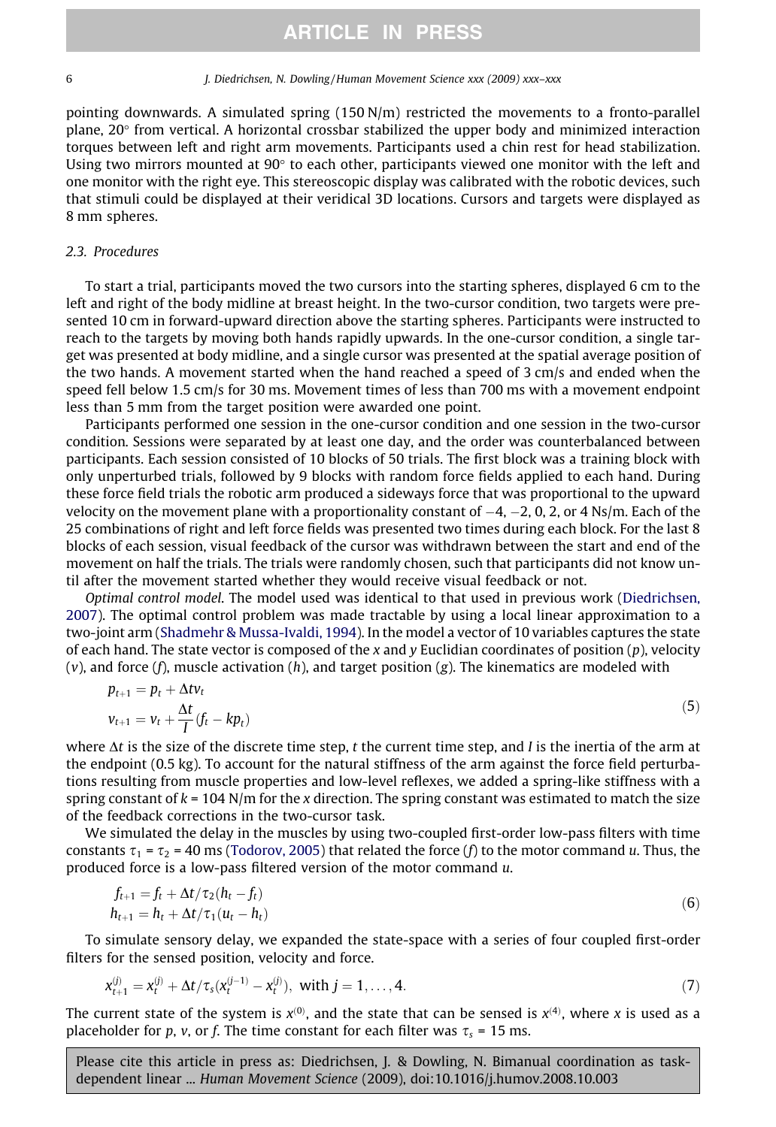pointing downwards. A simulated spring (150 N/m) restricted the movements to a fronto-parallel plane, 20° from vertical. A horizontal crossbar stabilized the upper body and minimized interaction torques between left and right arm movements. Participants used a chin rest for head stabilization. Using two mirrors mounted at  $90^\circ$  to each other, participants viewed one monitor with the left and one monitor with the right eye. This stereoscopic display was calibrated with the robotic devices, such that stimuli could be displayed at their veridical 3D locations. Cursors and targets were displayed as 8 mm spheres.

#### 2.3. Procedures

To start a trial, participants moved the two cursors into the starting spheres, displayed 6 cm to the left and right of the body midline at breast height. In the two-cursor condition, two targets were presented 10 cm in forward-upward direction above the starting spheres. Participants were instructed to reach to the targets by moving both hands rapidly upwards. In the one-cursor condition, a single target was presented at body midline, and a single cursor was presented at the spatial average position of the two hands. A movement started when the hand reached a speed of 3 cm/s and ended when the speed fell below 1.5 cm/s for 30 ms. Movement times of less than 700 ms with a movement endpoint less than 5 mm from the target position were awarded one point.

Participants performed one session in the one-cursor condition and one session in the two-cursor condition. Sessions were separated by at least one day, and the order was counterbalanced between participants. Each session consisted of 10 blocks of 50 trials. The first block was a training block with only unperturbed trials, followed by 9 blocks with random force fields applied to each hand. During these force field trials the robotic arm produced a sideways force that was proportional to the upward velocity on the movement plane with a proportionality constant of  $-4$ ,  $-2$ , 0, 2, or 4 Ns/m. Each of the 25 combinations of right and left force fields was presented two times during each block. For the last 8 blocks of each session, visual feedback of the cursor was withdrawn between the start and end of the movement on half the trials. The trials were randomly chosen, such that participants did not know until after the movement started whether they would receive visual feedback or not.

Optimal control model. The model used was identical to that used in previous work ([Diedrichsen,](#page-12-0) [2007\)](#page-12-0). The optimal control problem was made tractable by using a local linear approximation to a two-joint arm ([Shadmehr & Mussa-Ivaldi, 1994](#page-12-0)). In the model a vector of 10 variables captures the state of each hand. The state vector is composed of the x and y Euclidian coordinates of position  $(p)$ , velocity  $(v)$ , and force  $(f)$ , muscle activation  $(h)$ , and target position  $(g)$ . The kinematics are modeled with

$$
p_{t+1} = p_t + \Delta t v_t
$$
  
\n
$$
v_{t+1} = v_t + \frac{\Delta t}{I} (f_t - kp_t)
$$
\n(5)

where  $\Delta t$  is the size of the discrete time step, t the current time step, and I is the inertia of the arm at the endpoint (0.5 kg). To account for the natural stiffness of the arm against the force field perturbations resulting from muscle properties and low-level reflexes, we added a spring-like stiffness with a spring constant of  $k = 104$  N/m for the x direction. The spring constant was estimated to match the size of the feedback corrections in the two-cursor task.

We simulated the delay in the muscles by using two-coupled first-order low-pass filters with time constants  $\tau_1 = \tau_2 = 40$  ms [\(Todorov, 2005](#page-12-0)) that related the force (f) to the motor command u. Thus, the produced force is a low-pass filtered version of the motor command u.

$$
f_{t+1} = f_t + \Delta t / \tau_2 (h_t - f_t) h_{t+1} = h_t + \Delta t / \tau_1 (u_t - h_t)
$$
\n(6)

To simulate sensory delay, we expanded the state-space with a series of four coupled first-order filters for the sensed position, velocity and force.

$$
x_{t+1}^{(j)} = x_t^{(j)} + \Delta t / \tau_s (x_t^{(j-1)} - x_t^{(j)}), \text{ with } j = 1, ..., 4.
$$
 (7)

The current state of the system is  $x^{(0)}$ , and the state that can be sensed is  $x^{(4)}$ , where x is used as a placeholder for p, v, or f. The time constant for each filter was  $\tau_s$  = 15 ms.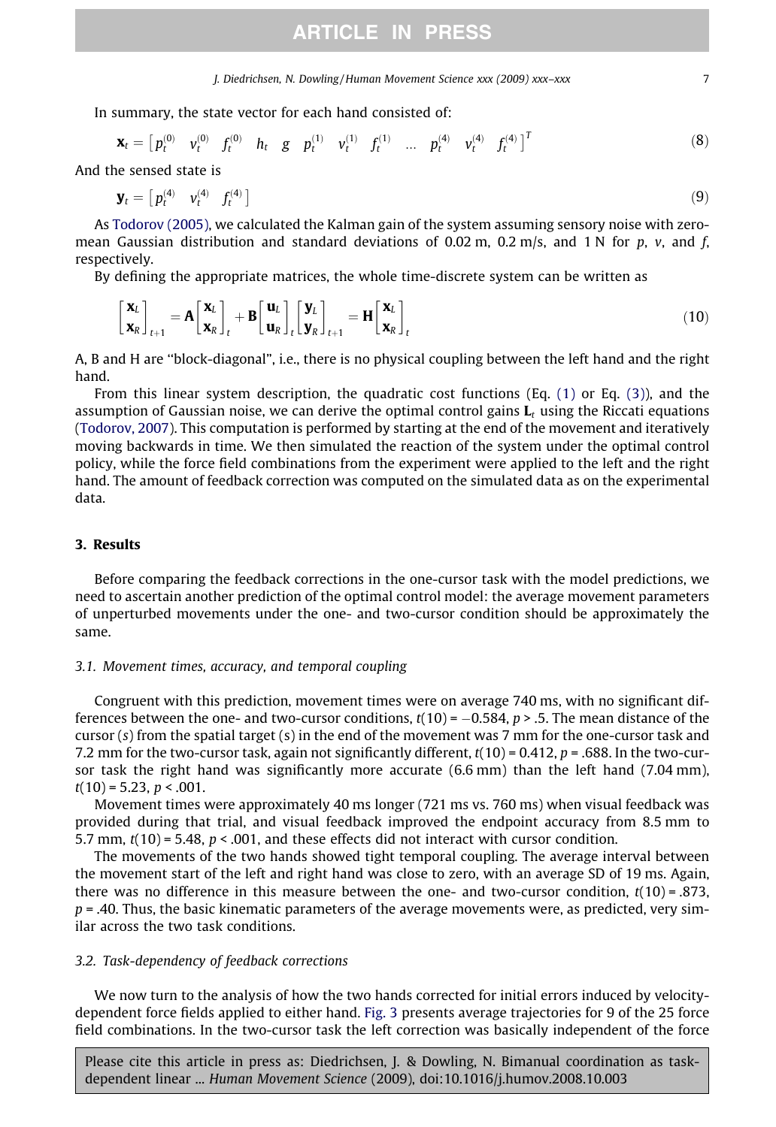J. Diedrichsen, N. Dowling / Human Movement Science xxx (2009) xxx–xxx 7

In summary, the state vector for each hand consisted of:

$$
\mathbf{x}_{t} = \begin{bmatrix} p_{t}^{(0)} & v_{t}^{(0)} & f_{t}^{(0)} & h_{t} & g & p_{t}^{(1)} & v_{t}^{(1)} & f_{t}^{(1)} & \dots & p_{t}^{(4)} & v_{t}^{(4)} & f_{t}^{(4)} \end{bmatrix}^{T}
$$
(8)

And the sensed state is

$$
\mathbf{y}_t = \begin{bmatrix} p_t^{(4)} & v_t^{(4)} & f_t^{(4)} \end{bmatrix} \tag{9}
$$

As [Todorov \(2005\),](#page-12-0) we calculated the Kalman gain of the system assuming sensory noise with zeromean Gaussian distribution and standard deviations of 0.02 m, 0.2 m/s, and 1 N for p, v, and f, respectively.

By defining the appropriate matrices, the whole time-discrete system can be written as

$$
\begin{bmatrix} \mathbf{x}_{L} \\ \mathbf{x}_{R} \end{bmatrix}_{t+1} = \mathbf{A} \begin{bmatrix} \mathbf{x}_{L} \\ \mathbf{x}_{R} \end{bmatrix}_{t} + \mathbf{B} \begin{bmatrix} \mathbf{u}_{L} \\ \mathbf{u}_{R} \end{bmatrix}_{t} \begin{bmatrix} \mathbf{y}_{L} \\ \mathbf{y}_{R} \end{bmatrix}_{t+1} = \mathbf{H} \begin{bmatrix} \mathbf{x}_{L} \\ \mathbf{x}_{R} \end{bmatrix}_{t}
$$
(10)

A, B and H are ''block-diagonal", i.e., there is no physical coupling between the left hand and the right hand.

From this linear system description, the quadratic cost functions (Eq. [\(1\)](#page-2-0) or Eq. [\(3\)\)](#page-3-0), and the assumption of Gaussian noise, we can derive the optimal control gains  $\mathbf{L}_t$  using the Riccati equations [\(Todorov, 2007](#page-12-0)). This computation is performed by starting at the end of the movement and iteratively moving backwards in time. We then simulated the reaction of the system under the optimal control policy, while the force field combinations from the experiment were applied to the left and the right hand. The amount of feedback correction was computed on the simulated data as on the experimental data.

#### 3. Results

Before comparing the feedback corrections in the one-cursor task with the model predictions, we need to ascertain another prediction of the optimal control model: the average movement parameters of unperturbed movements under the one- and two-cursor condition should be approximately the same.

#### 3.1. Movement times, accuracy, and temporal coupling

Congruent with this prediction, movement times were on average 740 ms, with no significant differences between the one- and two-cursor conditions,  $t(10)$  =  $-0.584$ , p > .5. The mean distance of the cursor  $(s)$  from the spatial target  $(s)$  in the end of the movement was 7 mm for the one-cursor task and 7.2 mm for the two-cursor task, again not significantly different,  $t(10) = 0.412$ ,  $p = .688$ . In the two-cursor task the right hand was significantly more accurate (6.6 mm) than the left hand (7.04 mm),  $t(10) = 5.23$ ,  $p < .001$ .

Movement times were approximately 40 ms longer (721 ms vs. 760 ms) when visual feedback was provided during that trial, and visual feedback improved the endpoint accuracy from 8.5 mm to 5.7 mm,  $t(10) = 5.48$ ,  $p < .001$ , and these effects did not interact with cursor condition.

The movements of the two hands showed tight temporal coupling. The average interval between the movement start of the left and right hand was close to zero, with an average SD of 19 ms. Again, there was no difference in this measure between the one- and two-cursor condition,  $t(10) = .873$ ,  $p = .40$ . Thus, the basic kinematic parameters of the average movements were, as predicted, very similar across the two task conditions.

#### 3.2. Task-dependency of feedback corrections

We now turn to the analysis of how the two hands corrected for initial errors induced by velocitydependent force fields applied to either hand. [Fig. 3](#page-7-0) presents average trajectories for 9 of the 25 force field combinations. In the two-cursor task the left correction was basically independent of the force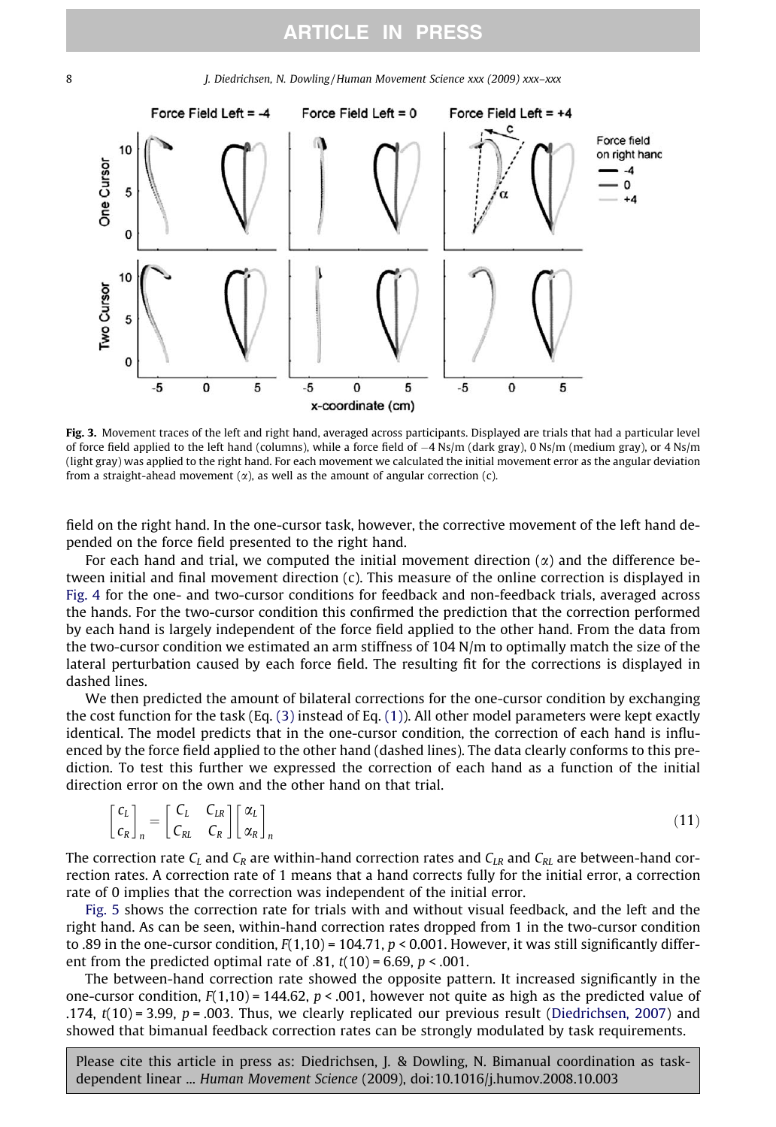<span id="page-7-0"></span>



Fig. 3. Movement traces of the left and right hand, averaged across participants. Displayed are trials that had a particular level of force field applied to the left hand (columns), while a force field of -4 Ns/m (dark gray), 0 Ns/m (medium gray), or 4 Ns/m (light gray) was applied to the right hand. For each movement we calculated the initial movement error as the angular deviation from a straight-ahead movement  $(\alpha)$ , as well as the amount of angular correction  $(c)$ .

field on the right hand. In the one-cursor task, however, the corrective movement of the left hand depended on the force field presented to the right hand.

For each hand and trial, we computed the initial movement direction  $(\alpha)$  and the difference between initial and final movement direction (c). This measure of the online correction is displayed in [Fig. 4](#page-8-0) for the one- and two-cursor conditions for feedback and non-feedback trials, averaged across the hands. For the two-cursor condition this confirmed the prediction that the correction performed by each hand is largely independent of the force field applied to the other hand. From the data from the two-cursor condition we estimated an arm stiffness of 104 N/m to optimally match the size of the lateral perturbation caused by each force field. The resulting fit for the corrections is displayed in dashed lines.

We then predicted the amount of bilateral corrections for the one-cursor condition by exchanging the cost function for the task (Eq.  $(3)$  instead of Eq.  $(1)$ ). All other model parameters were kept exactly identical. The model predicts that in the one-cursor condition, the correction of each hand is influenced by the force field applied to the other hand (dashed lines). The data clearly conforms to this prediction. To test this further we expressed the correction of each hand as a function of the initial direction error on the own and the other hand on that trial.

$$
\begin{bmatrix} c_L \\ c_R \end{bmatrix}_n = \begin{bmatrix} C_L & C_{LR} \\ C_{RL} & C_R \end{bmatrix} \begin{bmatrix} \alpha_L \\ \alpha_R \end{bmatrix}_n \tag{11}
$$

The correction rate  $C_L$  and  $C_R$  are within-hand correction rates and  $C_{LR}$  and  $C_{RL}$  are between-hand correction rates. A correction rate of 1 means that a hand corrects fully for the initial error, a correction rate of 0 implies that the correction was independent of the initial error.

[Fig. 5](#page-8-0) shows the correction rate for trials with and without visual feedback, and the left and the right hand. As can be seen, within-hand correction rates dropped from 1 in the two-cursor condition to .89 in the one-cursor condition,  $F(1,10) = 104.71$ ,  $p < 0.001$ . However, it was still significantly different from the predicted optimal rate of .81,  $t(10) = 6.69$ ,  $p < .001$ .

The between-hand correction rate showed the opposite pattern. It increased significantly in the one-cursor condition,  $F(1,10) = 144.62$ ,  $p < .001$ , however not quite as high as the predicted value of .174,  $t(10) = 3.99$ ,  $p = .003$ . Thus, we clearly replicated our previous result ([Diedrichsen, 2007\)](#page-12-0) and showed that bimanual feedback correction rates can be strongly modulated by task requirements.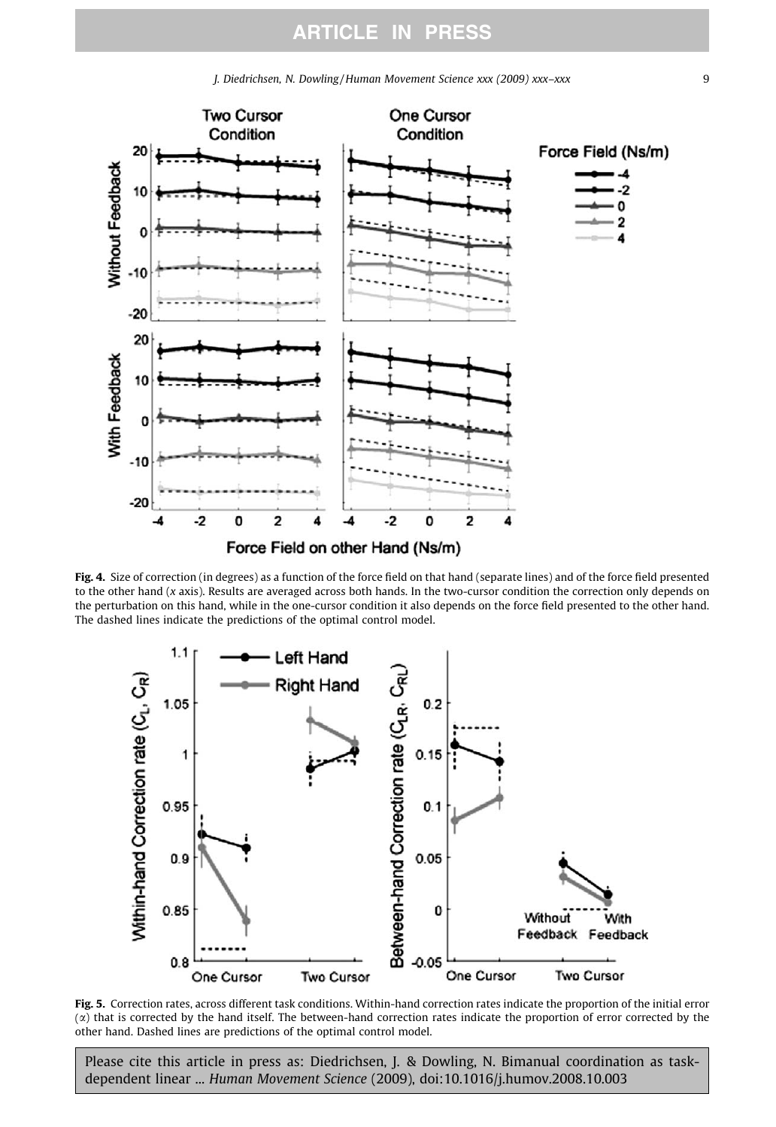<span id="page-8-0"></span>

Fig. 4. Size of correction (in degrees) as a function of the force field on that hand (separate lines) and of the force field presented to the other hand (x axis). Results are averaged across both hands. In the two-cursor condition the correction only depends on the perturbation on this hand, while in the one-cursor condition it also depends on the force field presented to the other hand. The dashed lines indicate the predictions of the optimal control model.



Fig. 5. Correction rates, across different task conditions. Within-hand correction rates indicate the proportion of the initial error  $(x)$  that is corrected by the hand itself. The between-hand correction rates indicate the proportion of error corrected by the other hand. Dashed lines are predictions of the optimal control model.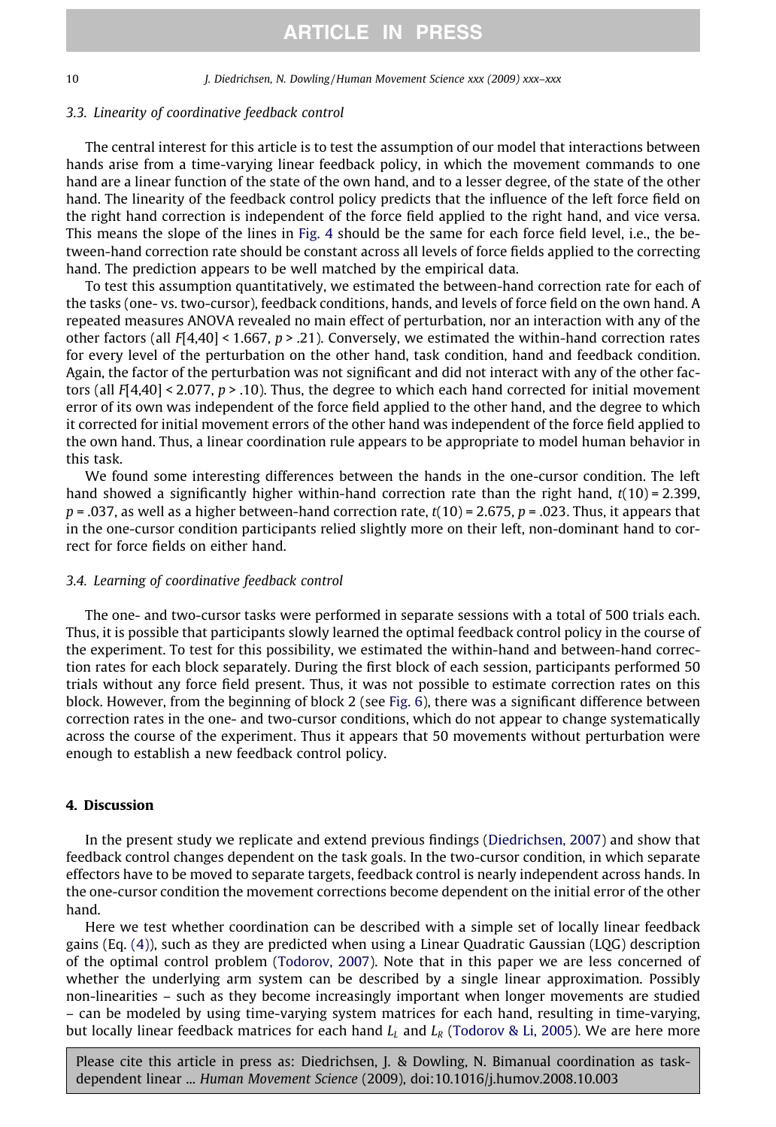#### 3.3. Linearity of coordinative feedback control

The central interest for this article is to test the assumption of our model that interactions between hands arise from a time-varying linear feedback policy, in which the movement commands to one hand are a linear function of the state of the own hand, and to a lesser degree, of the state of the other hand. The linearity of the feedback control policy predicts that the influence of the left force field on the right hand correction is independent of the force field applied to the right hand, and vice versa. This means the slope of the lines in [Fig. 4](#page-8-0) should be the same for each force field level, i.e., the between-hand correction rate should be constant across all levels of force fields applied to the correcting hand. The prediction appears to be well matched by the empirical data.

To test this assumption quantitatively, we estimated the between-hand correction rate for each of the tasks (one- vs. two-cursor), feedback conditions, hands, and levels of force field on the own hand. A repeated measures ANOVA revealed no main effect of perturbation, nor an interaction with any of the other factors (all  $F[4,40]$  < 1.667,  $p > .21$ ). Conversely, we estimated the within-hand correction rates for every level of the perturbation on the other hand, task condition, hand and feedback condition. Again, the factor of the perturbation was not significant and did not interact with any of the other factors (all  $F[4,40]$  < 2.077, p > .10). Thus, the degree to which each hand corrected for initial movement error of its own was independent of the force field applied to the other hand, and the degree to which it corrected for initial movement errors of the other hand was independent of the force field applied to the own hand. Thus, a linear coordination rule appears to be appropriate to model human behavior in this task.

We found some interesting differences between the hands in the one-cursor condition. The left hand showed a significantly higher within-hand correction rate than the right hand,  $t(10) = 2.399$ ,  $p = .037$ , as well as a higher between-hand correction rate,  $t(10) = 2.675$ ,  $p = .023$ . Thus, it appears that in the one-cursor condition participants relied slightly more on their left, non-dominant hand to correct for force fields on either hand.

#### 3.4. Learning of coordinative feedback control

The one- and two-cursor tasks were performed in separate sessions with a total of 500 trials each. Thus, it is possible that participants slowly learned the optimal feedback control policy in the course of the experiment. To test for this possibility, we estimated the within-hand and between-hand correction rates for each block separately. During the first block of each session, participants performed 50 trials without any force field present. Thus, it was not possible to estimate correction rates on this block. However, from the beginning of block 2 (see [Fig. 6\)](#page-10-0), there was a significant difference between correction rates in the one- and two-cursor conditions, which do not appear to change systematically across the course of the experiment. Thus it appears that 50 movements without perturbation were enough to establish a new feedback control policy.

### 4. Discussion

In the present study we replicate and extend previous findings ([Diedrichsen, 2007\)](#page-12-0) and show that feedback control changes dependent on the task goals. In the two-cursor condition, in which separate effectors have to be moved to separate targets, feedback control is nearly independent across hands. In the one-cursor condition the movement corrections become dependent on the initial error of the other hand.

Here we test whether coordination can be described with a simple set of locally linear feedback gains (Eq. [\(4\)\)](#page-3-0), such as they are predicted when using a Linear Quadratic Gaussian (LQG) description of the optimal control problem ([Todorov, 2007](#page-12-0)). Note that in this paper we are less concerned of whether the underlying arm system can be described by a single linear approximation. Possibly non-linearities – such as they become increasingly important when longer movements are studied – can be modeled by using time-varying system matrices for each hand, resulting in time-varying, but locally linear feedback matrices for each hand  $L<sub>L</sub>$  and  $L<sub>R</sub>$  [\(Todorov & Li, 2005](#page-12-0)). We are here more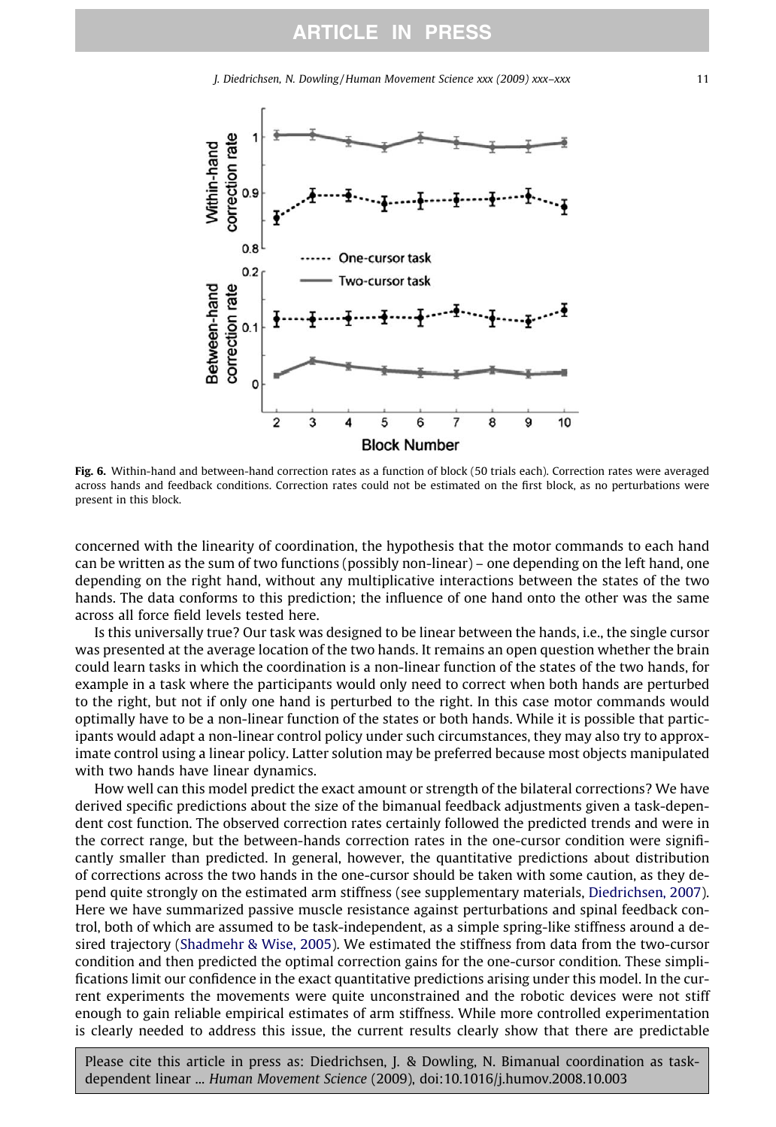J. Diedrichsen, N. Dowling / Human Movement Science xxx (2009) xxx–xxx 11

<span id="page-10-0"></span>

Fig. 6. Within-hand and between-hand correction rates as a function of block (50 trials each). Correction rates were averaged across hands and feedback conditions. Correction rates could not be estimated on the first block, as no perturbations were present in this block.

concerned with the linearity of coordination, the hypothesis that the motor commands to each hand can be written as the sum of two functions (possibly non-linear) – one depending on the left hand, one depending on the right hand, without any multiplicative interactions between the states of the two hands. The data conforms to this prediction; the influence of one hand onto the other was the same across all force field levels tested here.

Is this universally true? Our task was designed to be linear between the hands, i.e., the single cursor was presented at the average location of the two hands. It remains an open question whether the brain could learn tasks in which the coordination is a non-linear function of the states of the two hands, for example in a task where the participants would only need to correct when both hands are perturbed to the right, but not if only one hand is perturbed to the right. In this case motor commands would optimally have to be a non-linear function of the states or both hands. While it is possible that participants would adapt a non-linear control policy under such circumstances, they may also try to approximate control using a linear policy. Latter solution may be preferred because most objects manipulated with two hands have linear dynamics.

How well can this model predict the exact amount or strength of the bilateral corrections? We have derived specific predictions about the size of the bimanual feedback adjustments given a task-dependent cost function. The observed correction rates certainly followed the predicted trends and were in the correct range, but the between-hands correction rates in the one-cursor condition were significantly smaller than predicted. In general, however, the quantitative predictions about distribution of corrections across the two hands in the one-cursor should be taken with some caution, as they depend quite strongly on the estimated arm stiffness (see supplementary materials, [Diedrichsen, 2007\)](#page-12-0). Here we have summarized passive muscle resistance against perturbations and spinal feedback control, both of which are assumed to be task-independent, as a simple spring-like stiffness around a desired trajectory ([Shadmehr & Wise, 2005](#page-12-0)). We estimated the stiffness from data from the two-cursor condition and then predicted the optimal correction gains for the one-cursor condition. These simplifications limit our confidence in the exact quantitative predictions arising under this model. In the current experiments the movements were quite unconstrained and the robotic devices were not stiff enough to gain reliable empirical estimates of arm stiffness. While more controlled experimentation is clearly needed to address this issue, the current results clearly show that there are predictable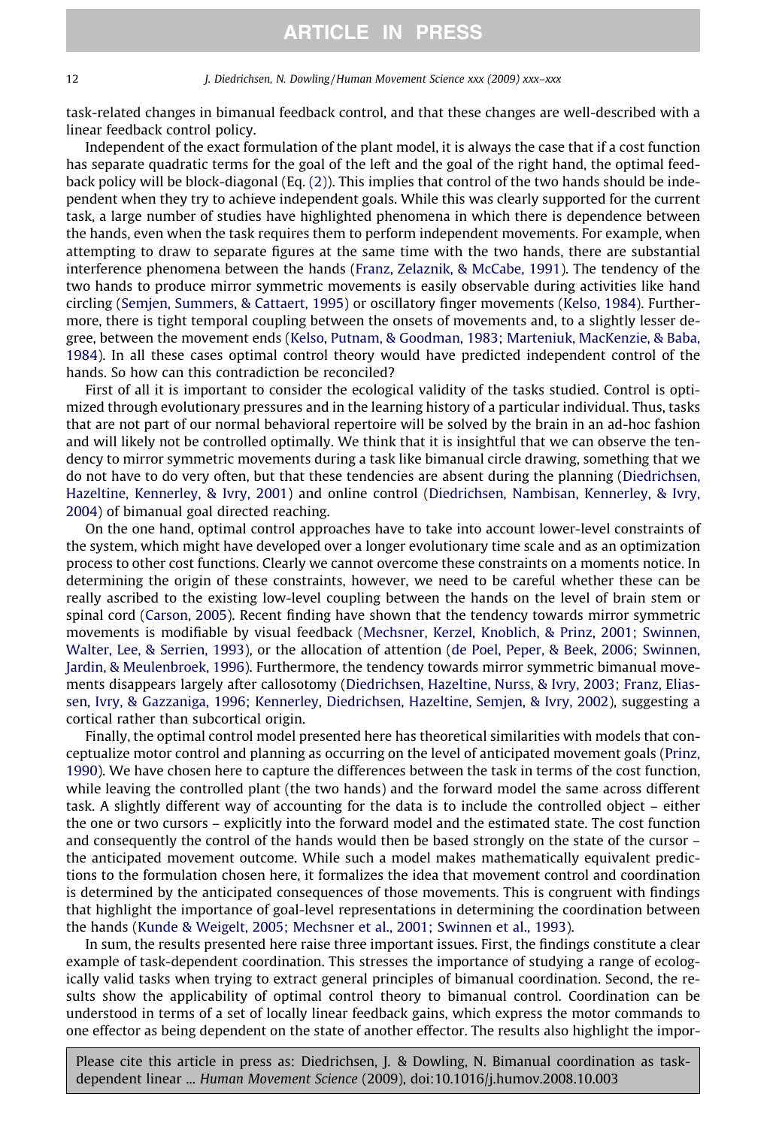task-related changes in bimanual feedback control, and that these changes are well-described with a linear feedback control policy.

Independent of the exact formulation of the plant model, it is always the case that if a cost function has separate quadratic terms for the goal of the left and the goal of the right hand, the optimal feedback policy will be block-diagonal (Eq. [\(2\)](#page-3-0)). This implies that control of the two hands should be independent when they try to achieve independent goals. While this was clearly supported for the current task, a large number of studies have highlighted phenomena in which there is dependence between the hands, even when the task requires them to perform independent movements. For example, when attempting to draw to separate figures at the same time with the two hands, there are substantial interference phenomena between the hands ([Franz, Zelaznik, & McCabe, 1991](#page-12-0)). The tendency of the two hands to produce mirror symmetric movements is easily observable during activities like hand circling [\(Semjen, Summers, & Cattaert, 1995](#page-12-0)) or oscillatory finger movements ([Kelso, 1984\)](#page-12-0). Furthermore, there is tight temporal coupling between the onsets of movements and, to a slightly lesser degree, between the movement ends [\(Kelso, Putnam, & Goodman, 1983; Marteniuk, MacKenzie, & Baba,](#page-12-0) [1984\)](#page-12-0). In all these cases optimal control theory would have predicted independent control of the hands. So how can this contradiction be reconciled?

First of all it is important to consider the ecological validity of the tasks studied. Control is optimized through evolutionary pressures and in the learning history of a particular individual. Thus, tasks that are not part of our normal behavioral repertoire will be solved by the brain in an ad-hoc fashion and will likely not be controlled optimally. We think that it is insightful that we can observe the tendency to mirror symmetric movements during a task like bimanual circle drawing, something that we do not have to do very often, but that these tendencies are absent during the planning ([Diedrichsen,](#page-12-0) [Hazeltine, Kennerley, & Ivry, 2001\)](#page-12-0) and online control ([Diedrichsen, Nambisan, Kennerley, & Ivry,](#page-12-0) [2004\)](#page-12-0) of bimanual goal directed reaching.

On the one hand, optimal control approaches have to take into account lower-level constraints of the system, which might have developed over a longer evolutionary time scale and as an optimization process to other cost functions. Clearly we cannot overcome these constraints on a moments notice. In determining the origin of these constraints, however, we need to be careful whether these can be really ascribed to the existing low-level coupling between the hands on the level of brain stem or spinal cord ([Carson, 2005\)](#page-12-0). Recent finding have shown that the tendency towards mirror symmetric movements is modifiable by visual feedback [\(Mechsner, Kerzel, Knoblich, & Prinz, 2001; Swinnen,](#page-12-0) [Walter, Lee, & Serrien, 1993](#page-12-0)), or the allocation of attention [\(de Poel, Peper, & Beek, 2006; Swinnen,](#page-12-0) [Jardin, & Meulenbroek, 1996](#page-12-0)). Furthermore, the tendency towards mirror symmetric bimanual movements disappears largely after callosotomy ([Diedrichsen, Hazeltine, Nurss, & Ivry, 2003; Franz, Elias](#page-12-0)[sen, Ivry, & Gazzaniga, 1996; Kennerley, Diedrichsen, Hazeltine, Semjen, & Ivry, 2002](#page-12-0)), suggesting a cortical rather than subcortical origin.

Finally, the optimal control model presented here has theoretical similarities with models that conceptualize motor control and planning as occurring on the level of anticipated movement goals [\(Prinz,](#page-12-0) [1990\)](#page-12-0). We have chosen here to capture the differences between the task in terms of the cost function, while leaving the controlled plant (the two hands) and the forward model the same across different task. A slightly different way of accounting for the data is to include the controlled object – either the one or two cursors – explicitly into the forward model and the estimated state. The cost function and consequently the control of the hands would then be based strongly on the state of the cursor – the anticipated movement outcome. While such a model makes mathematically equivalent predictions to the formulation chosen here, it formalizes the idea that movement control and coordination is determined by the anticipated consequences of those movements. This is congruent with findings that highlight the importance of goal-level representations in determining the coordination between the hands [\(Kunde & Weigelt, 2005; Mechsner et al., 2001; Swinnen et al., 1993\)](#page-12-0).

In sum, the results presented here raise three important issues. First, the findings constitute a clear example of task-dependent coordination. This stresses the importance of studying a range of ecologically valid tasks when trying to extract general principles of bimanual coordination. Second, the results show the applicability of optimal control theory to bimanual control. Coordination can be understood in terms of a set of locally linear feedback gains, which express the motor commands to one effector as being dependent on the state of another effector. The results also highlight the impor-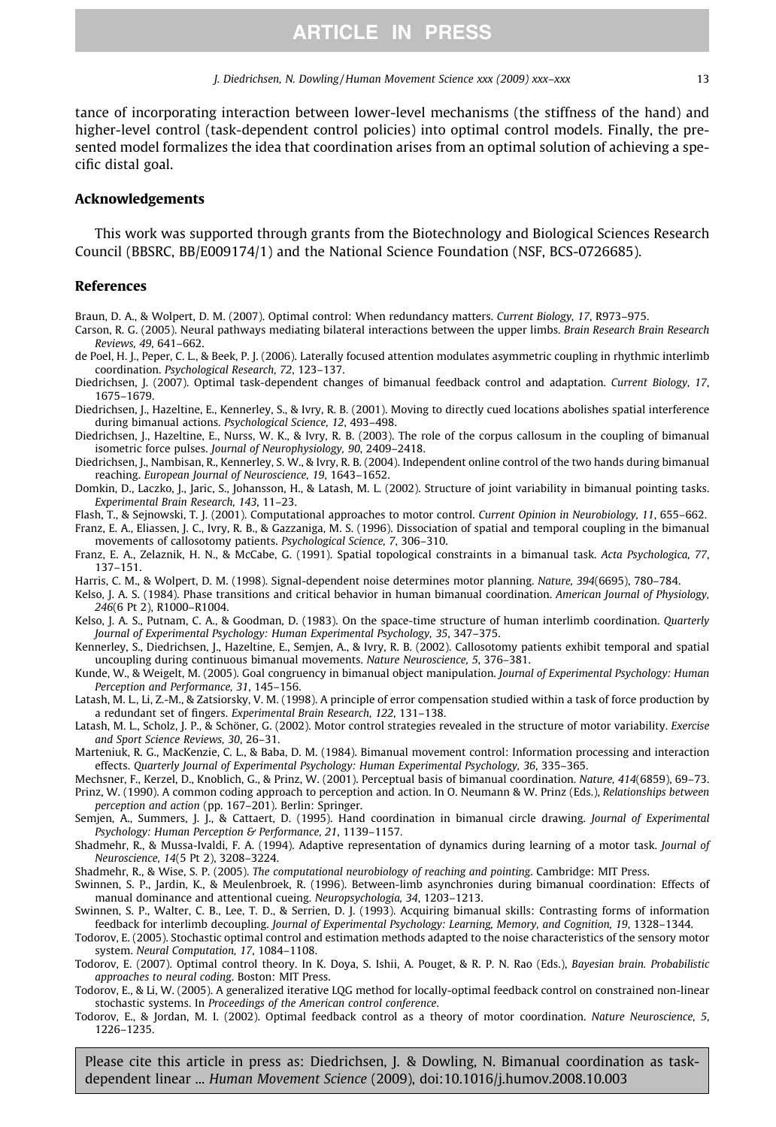<span id="page-12-0"></span>tance of incorporating interaction between lower-level mechanisms (the stiffness of the hand) and higher-level control (task-dependent control policies) into optimal control models. Finally, the presented model formalizes the idea that coordination arises from an optimal solution of achieving a specific distal goal.

#### Acknowledgements

This work was supported through grants from the Biotechnology and Biological Sciences Research Council (BBSRC, BB/E009174/1) and the National Science Foundation (NSF, BCS-0726685).

#### References

Braun, D. A., & Wolpert, D. M. (2007). Optimal control: When redundancy matters. Current Biology, 17, R973–975.

- Carson, R. G. (2005). Neural pathways mediating bilateral interactions between the upper limbs. Brain Research Brain Research Reviews, 49, 641–662.
- de Poel, H. J., Peper, C. L., & Beek, P. J. (2006). Laterally focused attention modulates asymmetric coupling in rhythmic interlimb coordination. Psychological Research, 72, 123–137.
- Diedrichsen, J. (2007). Optimal task-dependent changes of bimanual feedback control and adaptation. Current Biology, 17, 1675–1679.
- Diedrichsen, J., Hazeltine, E., Kennerley, S., & Ivry, R. B. (2001). Moving to directly cued locations abolishes spatial interference during bimanual actions. Psychological Science, 12, 493–498.
- Diedrichsen, J., Hazeltine, E., Nurss, W. K., & Ivry, R. B. (2003). The role of the corpus callosum in the coupling of bimanual isometric force pulses. Journal of Neurophysiology, 90, 2409–2418.
- Diedrichsen, J., Nambisan, R., Kennerley, S. W., & Ivry, R. B. (2004). Independent online control of the two hands during bimanual reaching. European Journal of Neuroscience, 19, 1643–1652.
- Domkin, D., Laczko, J., Jaric, S., Johansson, H., & Latash, M. L. (2002). Structure of joint variability in bimanual pointing tasks. Experimental Brain Research, 143, 11–23.
- Flash, T., & Sejnowski, T. J. (2001). Computational approaches to motor control. Current Opinion in Neurobiology, 11, 655–662. Franz, E. A., Eliassen, J. C., Ivry, R. B., & Gazzaniga, M. S. (1996). Dissociation of spatial and temporal coupling in the bimanual movements of callosotomy patients. Psychological Science, 7, 306–310.
- Franz, E. A., Zelaznik, H. N., & McCabe, G. (1991). Spatial topological constraints in a bimanual task. Acta Psychologica, 77, 137–151.
- Harris, C. M., & Wolpert, D. M. (1998). Signal-dependent noise determines motor planning. Nature, 394(6695), 780–784.
- Kelso, J. A. S. (1984). Phase transitions and critical behavior in human bimanual coordination. American Journal of Physiology, 246(6 Pt 2), R1000–R1004.
- Kelso, J. A. S., Putnam, C. A., & Goodman, D. (1983). On the space-time structure of human interlimb coordination. Quarterly Journal of Experimental Psychology: Human Experimental Psychology, 35, 347–375.
- Kennerley, S., Diedrichsen, J., Hazeltine, E., Semjen, A., & Ivry, R. B. (2002). Callosotomy patients exhibit temporal and spatial uncoupling during continuous bimanual movements. Nature Neuroscience, 5, 376–381.
- Kunde, W., & Weigelt, M. (2005). Goal congruency in bimanual object manipulation. Journal of Experimental Psychology: Human Perception and Performance, 31, 145–156.
- Latash, M. L., Li, Z.-M., & Zatsiorsky, V. M. (1998). A principle of error compensation studied within a task of force production by a redundant set of fingers. Experimental Brain Research, 122, 131–138.
- Latash, M. L., Scholz, J. P., & Schöner, G. (2002). Motor control strategies revealed in the structure of motor variability. Exercise and Sport Science Reviews, 30, 26–31.
- Marteniuk, R. G., MacKenzie, C. L., & Baba, D. M. (1984). Bimanual movement control: Information processing and interaction effects. Quarterly Journal of Experimental Psychology: Human Experimental Psychology, 36, 335–365.
- Mechsner, F., Kerzel, D., Knoblich, G., & Prinz, W. (2001). Perceptual basis of bimanual coordination. Nature, 414(6859), 69–73.

Prinz, W. (1990). A common coding approach to perception and action. In O. Neumann & W. Prinz (Eds.), Relationships between perception and action (pp. 167–201). Berlin: Springer.

- Semjen, A., Summers, J. J., & Cattaert, D. (1995). Hand coordination in bimanual circle drawing. Journal of Experimental Psychology: Human Perception & Performance, 21, 1139–1157.
- Shadmehr, R., & Mussa-Ivaldi, F. A. (1994). Adaptive representation of dynamics during learning of a motor task. Journal of Neuroscience, 14(5 Pt 2), 3208–3224.
- Shadmehr, R., & Wise, S. P. (2005). The computational neurobiology of reaching and pointing. Cambridge: MIT Press.
- Swinnen, S. P., Jardin, K., & Meulenbroek, R. (1996). Between-limb asynchronies during bimanual coordination: Effects of manual dominance and attentional cueing. Neuropsychologia, 34, 1203–1213.
- Swinnen, S. P., Walter, C. B., Lee, T. D., & Serrien, D. J. (1993). Acquiring bimanual skills: Contrasting forms of information feedback for interlimb decoupling. Journal of Experimental Psychology: Learning, Memory, and Cognition, 19, 1328–1344.

Todorov, E. (2005). Stochastic optimal control and estimation methods adapted to the noise characteristics of the sensory motor system. Neural Computation, 17, 1084–1108.

- Todorov, E. (2007). Optimal control theory. In K. Doya, S. Ishii, A. Pouget, & R. P. N. Rao (Eds.), Bayesian brain. Probabilistic approaches to neural coding. Boston: MIT Press.
- Todorov, E., & Li, W. (2005). A generalized iterative LQG method for locally-optimal feedback control on constrained non-linear stochastic systems. In Proceedings of the American control conference.
- Todorov, E., & Jordan, M. I. (2002). Optimal feedback control as a theory of motor coordination. Nature Neuroscience, 5, 1226–1235.